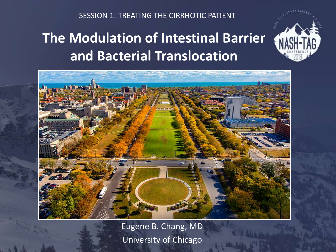SESSION 1: TREATING THE CIRRHOTIC PATIENT

## **The Modulation of Intestinal Barrier and Bacterial Translocation**



Eugene B. Chang, MD University of Chicago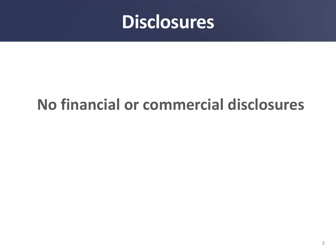

# **No financial or commercial disclosures**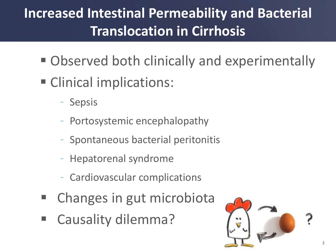# **Increased Intestinal Permeability and Bacterial Translocation in Cirrhosis**

- **Observed both clinically and experimentally**
- **Clinical implications:** 
	- Sepsis
	- Portosystemic encephalopathy
	- Spontaneous bacterial peritonitis
	- Hepatorenal syndrome
	- Cardiovascular complications
- Changes in gut microbiota
- Causality dilemma?

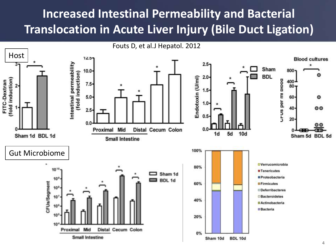## **Increased Intestinal Permeability and Bacterial Translocation in Acute Liver Injury (Bile Duct Ligation)**

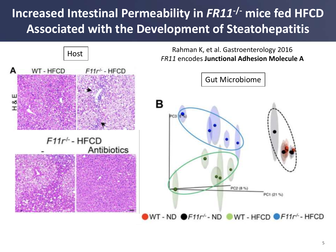## **Increased Intestinal Permeability in** *FR11***-/- mice fed HFCD Associated with the Development of Steatohepatitis**

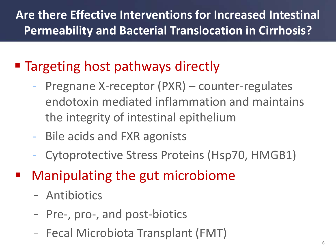## **Are there Effective Interventions for Increased Intestinal Permeability and Bacterial Translocation in Cirrhosis?**

## **Targeting host pathways directly**

- Pregnane X-receptor (PXR) counter-regulates endotoxin mediated inflammation and maintains the integrity of intestinal epithelium
- Bile acids and FXR agonists
- Cytoprotective Stress Proteins (Hsp70, HMGB1)
- Manipulating the gut microbiome
	- Antibiotics
	- Pre-, pro-, and post-biotics
	- Fecal Microbiota Transplant (FMT)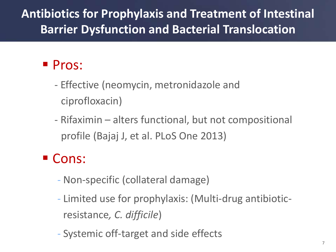## **Antibiotics for Prophylaxis and Treatment of Intestinal Barrier Dysfunction and Bacterial Translocation**

## **Pros:**

- Effective (neomycin, metronidazole and ciprofloxacin)
- Rifaximin alters functional, but not compositional profile (Bajaj J, et al. PLoS One 2013)

### Cons:

- Non-specific (collateral damage)
- Limited use for prophylaxis: (Multi-drug antibioticresistance*, C. difficile*)
- Systemic off-target and side effects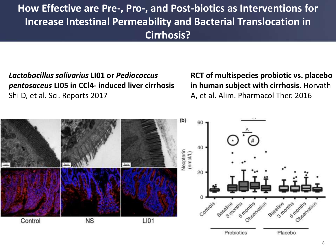### **How Effective are Pre-, Pro-, and Post-biotics as Interventions for Increase Intestinal Permeability and Bacterial Translocation in Cirrhosis?**

*Lactobacillus salivarius* **LI01 or** *Pediococcus pentosaceus* **LI05 in CCl4- induced liver cirrhosis**  Shi D, et al. Sci. Reports 2017

**RCT of multispecies probiotic vs. placebo in human subject with cirrhosis.** Horvath A, et al. Alim. Pharmacol Ther. 2016

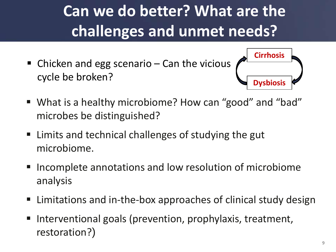# **Can we do better? What are the challenges and unmet needs?**

■ Chicken and egg scenario – Can the vicious cycle be broken?



- What is a healthy microbiome? How can "good" and "bad" microbes be distinguished?
- Limits and technical challenges of studying the gut microbiome.
- Incomplete annotations and low resolution of microbiome analysis
- Limitations and in-the-box approaches of clinical study design
- Interventional goals (prevention, prophylaxis, treatment, restoration?)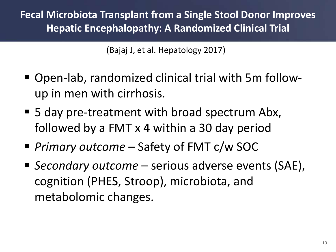**Fecal Microbiota Transplant from a Single Stool Donor Improves Hepatic Encephalopathy: A Randomized Clinical Trial**

(Bajaj J, et al. Hepatology 2017)

- Open-lab, randomized clinical trial with 5m followup in men with cirrhosis.
- 5 day pre-treatment with broad spectrum Abx, followed by a FMT x 4 within a 30 day period
- *Primary outcome*  Safety of FMT c/w SOC
- *Secondary outcome*  serious adverse events (SAE), cognition (PHES, Stroop), microbiota, and metabolomic changes.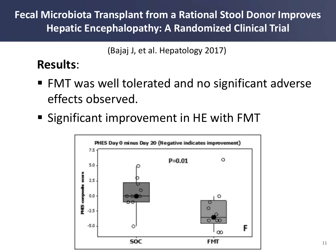**Fecal Microbiota Transplant from a Rational Stool Donor Improves Hepatic Encephalopathy: A Randomized Clinical Trial**

(Bajaj J, et al. Hepatology 2017)

### **Results**:

- FMT was well tolerated and no significant adverse effects observed.
- Significant improvement in HE with FMT

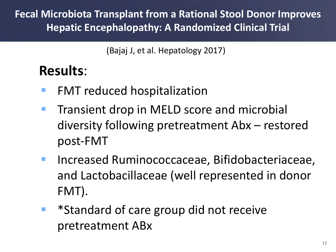**Fecal Microbiota Transplant from a Rational Stool Donor Improves Hepatic Encephalopathy: A Randomized Clinical Trial**

(Bajaj J, et al. Hepatology 2017)

## **Results**:

- **FMT reduced hospitalization**
- **Transient drop in MELD score and microbial** diversity following pretreatment Abx – restored post-FMT
- **Increased Ruminococcaceae, Bifidobacteriaceae,** and Lactobacillaceae (well represented in donor FMT).
- \*Standard of care group did not receive pretreatment ABx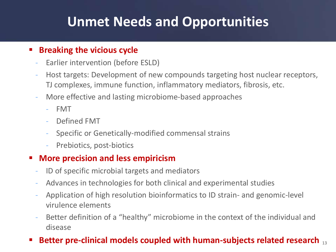## **Unmet Needs and Opportunities**

#### **Breaking the vicious cycle**

- Earlier intervention (before ESLD)
- Host targets: Development of new compounds targeting host nuclear receptors, TJ complexes, immune function, inflammatory mediators, fibrosis, etc.
- More effective and lasting microbiome-based approaches
	- FMT
	- Defined FMT
	- Specific or Genetically-modified commensal strains
	- Prebiotics, post-biotics

#### **More precision and less empiricism**

- ID of specific microbial targets and mediators
- Advances in technologies for both clinical and experimental studies
- Application of high resolution bioinformatics to ID strain- and genomic-level virulence elements
- Better definition of a "healthy" microbiome in the context of the individual and disease

#### **Better pre-clinical models coupled with human-subjects related research 13**